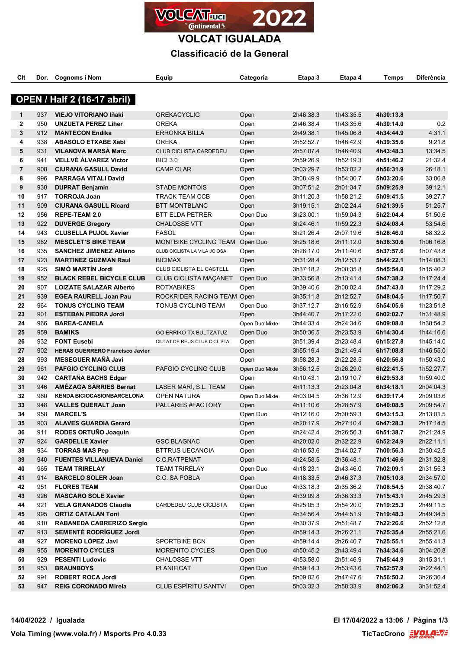

# **VOLCAT IGUALADA Classificació de la General**

| Clt            |            | Dor. Cognoms i Nom                                        | Equip                                        | Categoria        | Etapa 3                | Etapa 4                | Temps                  | Diferència             |
|----------------|------------|-----------------------------------------------------------|----------------------------------------------|------------------|------------------------|------------------------|------------------------|------------------------|
|                |            | <b>OPEN / Half 2 (16-17 abril)</b>                        |                                              |                  |                        |                        |                        |                        |
|                |            |                                                           |                                              |                  |                        |                        |                        |                        |
| 1              | 937        | <b>VIEJO VITORIANO Iñaki</b>                              | <b>OREKACYCLIG</b>                           | Open             | 2h46:38.3              | 1h43:35.5              | 4h30:13.8              |                        |
| $\mathbf{2}$   | 950        | <b>UNZUETA PEREZ Liher</b>                                | <b>OREKA</b>                                 | Open             | 2h46:38.4              | 1h43:35.6              | 4h30:14.0              | 0.2                    |
| 3              | 912        | <b>MANTECON Endika</b>                                    | ERRONKA BILLA                                | Open             | 2h49:38.1              | 1h45:06.8              | 4h34:44.9              | 4:31.1                 |
| 4              | 938        | <b>ABASOLO ETXABE Xabi</b>                                | <b>OREKA</b>                                 | Open             | 2h52:52.7              | 1h46:42.9              | 4h39:35.6              | 9:21.8                 |
| 5              | 931        | <b>VILANOVA MARSÀ Marc</b>                                | <b>CLUB CICLISTA CARDEDEU</b>                | Open             | 2h57:07.4              | 1h46:40.9              | 4h43:48.3              | 13:34.5                |
| 6              | 941        | <b>VELLVÉ ÁLVAREZ Víctor</b>                              | <b>BICI 3.0</b>                              | Open             | 2h59:26.9              | 1h52:19.3              | 4h51:46.2              | 21:32.4                |
| $\overline{7}$ | 908        | <b>CIURANA GASULL David</b>                               | <b>CAMP CLAR</b>                             | Open             | 3h03:29.7              | 1h53:02.2              | 4h56:31.9              | 26:18.1                |
| 8              | 996        | <b>PARRAGA VITALI David</b>                               |                                              | Open             | 3h08:49.9              | 1h54:30.7              | 5h03:20.6              | 33:06.8                |
| 9              | 930        | <b>DUPRAT Benjamin</b>                                    | <b>STADE MONTOIS</b>                         | Open             | 3h07:51.2              | 2h01:34.7              | 5h09:25.9              | 39:12.1                |
| 10             | 917        | <b>TORROJA Joan</b>                                       | <b>TRACK TEAM CCB</b>                        | Open             | 3h11:20.3              | 1h58:21.2              | 5h09:41.5              | 39:27.7                |
| 11             | 909        | <b>CIURANA GASULL Ricard</b>                              | <b>BTT MONTBLANC</b>                         | Open             | 3h19:15.1              | 2h02:24.4              | 5h21:39.5              | 51:25.7                |
| 12             | 956        | <b>REPE-TEAM 2.0</b>                                      | <b>BTT ELDA PETRER</b>                       | Open Duo         | 3h23:00.1              | 1h59:04.3              | 5h22:04.4              | 51:50.6                |
| 13             | 922        | <b>DUVERGE Gregory</b>                                    | <b>CHALOSSE VTT</b>                          | Open             | 3h24:46.1              | 1h59:22.3              | 5h24:08.4              | 53:54.6                |
| 14             | 943        | <b>CLUSELLA PUJOL Xavier</b>                              | <b>FASOL</b>                                 | Open             | 3h21:26.4              | 2h07:19.6              | 5h28:46.0              | 58:32.2                |
| 15             | 962        | <b>MESCLET'S BIKE TEAM</b>                                | MONTBIKE CYCLING TEAM Open Duo               |                  | 3h25:18.6              | 2h11:12.0              | 5h36:30.6              | 1h06:16.8              |
| 16             | 935        | <b>SANCHEZ JIMENEZ Atilano</b>                            | CLUB CICLISTA LA VILA JOIOSA                 | Open             | 3h26:17.0              | 2h11:40.6              | 5h37:57.6              | 1h07:43.8              |
| 17             | 923        | <b>MARTINEZ GUZMAN Raul</b>                               | <b>BICIMAX</b>                               | Open             | 3h31:28.4              | 2h12:53.7              | 5h44:22.1              | 1h14:08.3              |
| 18             | 925        | SIMÓ MARTÍN Jordi                                         | CLUB CICLISTA EL CASTELL                     | Open             | 3h37:18.2              | 2h08:35.8              | 5h45:54.0              | 1h15:40.2              |
| 19             | 952        | <b>BLACK REBEL BICYCLE CLUB</b>                           | <b>CLUB CICLISTA MAÇANET</b>                 | Open Duo         | 3h33:56.8              | 2h13:41.4              | 5h47:38.2              | 1h17:24.4              |
| 20             | 907        | <b>LOIZATE SALAZAR Alberto</b>                            | <b>ROTXABIKES</b>                            | Open             | 3h39:40.6              | 2h08:02.4              | 5h47:43.0              | 1h17:29.2              |
| 21             | 939        | <b>EGEA RAURELL Joan Pau</b>                              | ROCKRIDER RACING TEAM Open                   |                  | 3h35:11.8              | 2h12:52.7              | 5h48:04.5              | 1h17:50.7              |
| 22             | 964        | <b>TONUS CYCLING TEAM</b>                                 | TONUS CYCLING TEAM                           | Open Duo         | 3h37:12.7              | 2h16:52.9              | 5h54:05.6              | 1h23:51.8              |
| 23             | 901        | <b>ESTEBAN PIEDRA Jordi</b>                               |                                              | Open             | 3h44:40.7              | 2h17:22.0              | 6h02:02.7              | 1h31:48.9              |
| 24             | 966        | <b>BAREA-CANELA</b>                                       |                                              | Open Duo Mixte   | 3h44:33.4              | 2h24:34.6              | 6h09:08.0              | 1h38:54.2              |
| 25             | 959        | <b>BAMIKS</b>                                             | <b>GOIERRIKO TX BULTZATUZ</b>                | Open Duo         | 3h50:36.5              | 2h23:53.9              | 6h14:30.4              | 1h44:16.6              |
| 26             | 932        | <b>FONT Eusebi</b>                                        | CIUTAT DE REUS CLUB CICLISTA                 | Open             | 3h51:39.4              | 2h23:48.4              | 6h15:27.8              | 1h45:14.0              |
| 27             | 902        | <b>HERAS GUERRERO Francisco Javier</b>                    |                                              | Open             | 3h55:19.4              | 2h21:49.4              | 6h17:08.8              | 1h46:55.0              |
| 28             | 993        | <b>MESEGUER MANA Javi</b>                                 |                                              | Open             | 3h58:28.3              | 2h22:28.5              | 6h20:56.8              | 1h50:43.0              |
| 29             | 961        | <b>PAFGIO CYCLING CLUB</b>                                | PAFGIO CYCLING CLUB                          | Open Duo Mixte   | 3h56:12.5              | 2h26:29.0              | 6h22:41.5              | 1h52:27.7              |
| 30             | 942        | <b>CARTAÑA BACHS Edgar</b>                                |                                              | Open             | 4h10:43.1              | 2h19:10.7              | 6h29:53.8              | 1h59:40.0              |
| 31             | 946        | AMÉZAGA SÀRRIES Bernat                                    | LASER MARÍ, S.L. TEAM                        | Open             | 4h11:13.3              | 2h23:04.8              | 6h34:18.1              | 2h04:04.3              |
| 32             | 960        | <b>KENDA BICIOCASIONBARCELONA</b>                         | <b>OPEN NATURA</b>                           | Open Duo Mixte   | 4h03:04.5              | 2h36:12.9              | 6h39:17.4              | 2h09:03.6              |
| 33             | 948        | <b>VALLES QUERALT Joan</b>                                | PALLARES #FACTORY                            | Open             | 4h11:10.6              | 2h28:57.9              | 6h40:08.5              | 2h09:54.7              |
| 34             | 958        | <b>MARCEL'S</b>                                           |                                              | Open Duo         | 4h12:16.0              | 2h30:59.3              | 6h43:15.3              | 2h13:01.5              |
| 35             | 903        | <b>ALAVES GUARDIA Gerard</b>                              |                                              | Open             | 4h20:17.9              | 2h27:10.4              | 6h47:28.3              | 2h17:14.5              |
| 36             | 911        | RODES ORTUÑO Joaquin                                      |                                              | Open             | 4h24:42.4              | 2h26:56.3              | 6h51:38.7              | 2h21:24.9              |
| 37             | 924        | <b>GARDELLE Xavier</b>                                    | <b>GSC BLAGNAC</b><br><b>BTTRUS UECANOIA</b> | Open             | 4h20:02.0              | 2h32:22.9              | 6h52:24.9              | 2h22:11.1              |
| 38<br>39       | 934<br>940 | <b>TORRAS MAS Pep</b><br><b>FUENTES VILLANUEVA Daniel</b> | C.C.RATPENAT                                 | Open             | 4h16:53.6              | 2h44:02.7              | 7h00:56.3              | 2h30:42.5              |
|                |            |                                                           |                                              | Open             | 4h24:58.5              | 2h36:48.1<br>2h43:46.0 | 7h01:46.6<br>7h02:09.1 | 2h31:32.8              |
| 40<br>41       | 965<br>914 | <b>TEAM TRIRELAY</b><br><b>BARCELO SOLER Joan</b>         | <b>TEAM TRIRELAY</b>                         | Open Duo<br>Open | 4h18:23.1              |                        |                        | 2h31:55.3              |
| 42             | 951        | <b>FLORES TEAM</b>                                        | C.C. SA POBLA                                | Open Duo         | 4h18:33.5<br>4h33:18.3 | 2h46:37.3<br>2h35:36.2 | 7h05:10.8<br>7h08:54.5 | 2h34:57.0<br>2h38:40.7 |
| 43             | 926        | <b>MASCARO SOLE Xavier</b>                                |                                              | Open             | 4h39:09.8              | 2h36:33.3              | 7h15:43.1              | 2h45:29.3              |
| 44             | 921        | <b>VELA GRANADOS Claudia</b>                              | CARDEDEU CLUB CICLISTA                       | Open             | 4h25:05.3              | 2h54:20.0              | 7h19:25.3              | 2h49:11.5              |
| 45             | 995        | <b>ORTIZ CATALAN Toni</b>                                 |                                              | Open             | 4h34:56.4              | 2h44:51.9              | 7h19:48.3              | 2h49:34.5              |
| 46             | 910        | <b>RABANEDA CABRERIZO Sergio</b>                          |                                              | Open             | 4h30:37.9              | 2h51:48.7              | 7h22:26.6              | 2h52:12.8              |
| 47             | 913        | SEMENTÉ RODRÍGUEZ Jordi                                   |                                              | Open             | 4h59:14.3              | 2h26:21.1              | 7h25:35.4              | 2h55:21.6              |
| 48             | 927        | <b>MORENO LÓPEZ Javi</b>                                  | SPORTBIKE BCN                                | Open             | 4h59:14.4              | 2h26:40.7              | 7h25:55.1              | 2h55:41.3              |
| 49             | 955        | <b>MORENITO CYCLES</b>                                    | MORENITO CYCLES                              | Open Duo         | 4h50:45.2              | 2h43:49.4              | 7h34:34.6              | 3h04:20.8              |
| 50             | 929        | <b>PESENTI Ludovic</b>                                    | <b>CHALOSSE VTT</b>                          | Open             | 4h53:58.0              | 2h51:46.9              | 7h45:44.9              | 3h15:31.1              |
| 51             | 953        | <b>BRAUNBOYS</b>                                          | PLANIFICAT                                   | Open Duo         | 4h59:14.3              | 2h53:43.6              | 7h52:57.9              | 3h22:44.1              |
| 52             | 991        | <b>ROBERT ROCA Jordi</b>                                  |                                              | Open             | 5h09:02.6              | 2h47:47.6              | 7h56:50.2              | 3h26:36.4              |
| 53             | 947        | <b>REIG CORONADO Mireia</b>                               | CLUB ESPÍRITU SANTVI                         | Open             | 5h03:32.3              | 2h58:33.9              | 8h02:06.2              | 3h31:52.4              |
|                |            |                                                           |                                              |                  |                        |                        |                        |                        |

**14/04/2022 / Igualada El 17/04/2022 a 13:06 / Pàgina 1/3**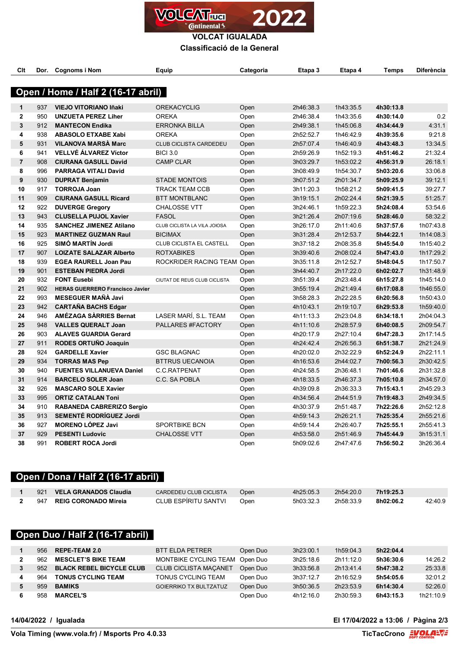

**VOLCAT IGUALADA**

**Classificació de la General**

| Clt            | Dor. | <b>Cognoms i Nom</b>                   | Equip                        | Categoria    | Etapa 3                | Etapa 4   | Temps     | Diferència |
|----------------|------|----------------------------------------|------------------------------|--------------|------------------------|-----------|-----------|------------|
|                |      |                                        |                              |              |                        |           |           |            |
|                |      | Open / Home / Half 2 (16-17 abril)     |                              |              |                        |           |           |            |
| 1              | 937  | <b>VIEJO VITORIANO Iñaki</b>           | <b>OREKACYCLIG</b>           | Open         | 2h46:38.3              | 1h43:35.5 | 4h30:13.8 |            |
| $\overline{2}$ | 950  | <b>UNZUETA PEREZ Liher</b>             | <b>OREKA</b>                 | Open         | 2h46:38.4              | 1h43:35.6 | 4h30:14.0 | 0.2        |
| 3              | 912  | <b>MANTECON Endika</b>                 | <b>ERRONKA BILLA</b>         | Open         | 2h49:38.1              | 1h45:06.8 | 4h34:44.9 | 4:31.1     |
| 4              | 938  | <b>ABASOLO ETXABE Xabi</b>             | <b>OREKA</b>                 | Open         | 2h52:52.7              | 1h46:42.9 | 4h39:35.6 | 9:21.8     |
| 5              | 931  | <b>VILANOVA MARSÀ Marc</b>             | CLUB CICLISTA CARDEDEU       | Open         | 2h57:07.4              | 1h46:40.9 | 4h43:48.3 | 13:34.5    |
| 6              | 941  | <b>VELLVÉ ÁLVAREZ Víctor</b>           | <b>BICI 3.0</b>              | Open         | 2h59:26.9              | 1h52:19.3 | 4h51:46.2 | 21:32.4    |
| $\overline{7}$ | 908  | <b>CIURANA GASULL David</b>            | <b>CAMP CLAR</b>             | Open         | 3h03:29.7              | 1h53:02.2 | 4h56:31.9 | 26:18.1    |
| 8              | 996  | <b>PARRAGA VITALI David</b>            |                              | Open         | 3h08:49.9              | 1h54:30.7 | 5h03:20.6 | 33:06.8    |
| 9              | 930  | <b>DUPRAT Benjamin</b>                 | <b>STADE MONTOIS</b>         | Open         | 3h07:51.2              | 2h01:34.7 | 5h09:25.9 | 39:12.1    |
| 10             | 917  | <b>TORROJA Joan</b>                    | <b>TRACK TEAM CCB</b>        | Open         | 3h11:20.3              | 1h58:21.2 | 5h09:41.5 | 39:27.7    |
| 11             | 909  | <b>CIURANA GASULL Ricard</b>           | <b>BTT MONTBLANC</b>         | Open         | 3h19:15.1              | 2h02:24.4 | 5h21:39.5 | 51:25.7    |
| 12             | 922  | <b>DUVERGE Gregory</b>                 | <b>CHALOSSE VTT</b>          | Open         | 3h24:46.1              | 1h59:22.3 | 5h24:08.4 | 53:54.6    |
| 13             | 943  | <b>CLUSELLA PUJOL Xavier</b>           | <b>FASOL</b>                 | Open         | 3h21:26.4              | 2h07:19.6 | 5h28:46.0 | 58:32.2    |
| 14             | 935  | <b>SANCHEZ JIMENEZ Atilano</b>         | CLUB CICLISTA LA VILA JOIOSA | Open         | 3h26:17.0              | 2h11:40.6 | 5h37:57.6 | 1h07:43.8  |
| 15             | 923  | <b>MARTINEZ GUZMAN Raul</b>            | <b>BICIMAX</b>               | Open         | 3h31:28.4              | 2h12:53.7 | 5h44:22.1 | 1h14:08.3  |
| 16             | 925  | SIMÓ MARTÍN Jordi                      | CLUB CICLISTA EL CASTELL     |              | 3h37:18.2              | 2h08:35.8 | 5h45:54.0 | 1h15:40.2  |
| 17             | 907  | <b>LOIZATE SALAZAR Alberto</b>         | <b>ROTXABIKES</b>            | Open<br>Open | 3h39:40.6              | 2h08:02.4 | 5h47:43.0 | 1h17:29.2  |
| 18             | 939  | <b>EGEA RAURELL Joan Pau</b>           | ROCKRIDER RACING TEAM Open   |              | 3h35:11.8              | 2h12:52.7 | 5h48:04.5 | 1h17:50.7  |
| 19             | 901  | <b>ESTEBAN PIEDRA Jordi</b>            |                              |              | 3h44:40.7              | 2h17:22.0 | 6h02:02.7 | 1h31:48.9  |
| 20             | 932  | <b>FONT Eusebi</b>                     | CIUTAT DE REUS CLUB CICLISTA | Open         | 3h51:39.4              | 2h23:48.4 | 6h15:27.8 | 1h45:14.0  |
| 21             | 902  | <b>HERAS GUERRERO Francisco Javier</b> |                              | Open         |                        | 2h21:49.4 | 6h17:08.8 | 1h46:55.0  |
| 22             | 993  | <b>MESEGUER MAÑÀ Javi</b>              |                              | Open<br>Open | 3h55:19.4<br>3h58:28.3 | 2h22:28.5 | 6h20:56.8 | 1h50:43.0  |
| 23             | 942  | <b>CARTAÑA BACHS Edgar</b>             |                              | Open         | 4h10:43.1              | 2h19:10.7 | 6h29:53.8 | 1h59:40.0  |
| 24             | 946  | AMÉZAGA SÀRRIES Bernat                 | LASER MARÍ, S.L. TEAM        | Open         | 4h11:13.3              | 2h23:04.8 | 6h34:18.1 | 2h04:04.3  |
| 25             | 948  | <b>VALLES QUERALT Joan</b>             | PALLARES #FACTORY            | Open         | 4h11:10.6              | 2h28:57.9 | 6h40:08.5 | 2h09:54.7  |
| 26             | 903  | <b>ALAVES GUARDIA Gerard</b>           |                              | Open         | 4h20:17.9              | 2h27:10.4 | 6h47:28.3 | 2h17:14.5  |
| 27             | 911  | RODES ORTUÑO Joaquin                   |                              | Open         | 4h24:42.4              | 2h26:56.3 | 6h51:38.7 | 2h21:24.9  |
| 28             | 924  | <b>GARDELLE Xavier</b>                 | <b>GSC BLAGNAC</b>           | Open         | 4h20:02.0              | 2h32:22.9 | 6h52:24.9 | 2h22:11.1  |
| 29             | 934  | <b>TORRAS MAS Pep</b>                  | <b>BTTRUS UECANOIA</b>       | Open         | 4h16:53.6              | 2h44:02.7 | 7h00:56.3 | 2h30:42.5  |
| 30             | 940  | <b>FUENTES VILLANUEVA Daniel</b>       | C.C.RATPENAT                 | Open         | 4h24:58.5              | 2h36:48.1 | 7h01:46.6 | 2h31:32.8  |
| 31             | 914  | <b>BARCELO SOLER Joan</b>              | C.C. SA POBLA                | Open         | 4h18:33.5              | 2h46:37.3 | 7h05:10.8 | 2h34:57.0  |
| 32             | 926  | <b>MASCARO SOLE Xavier</b>             |                              | Open         | 4h39:09.8              | 2h36:33.3 | 7h15:43.1 | 2h45:29.3  |
| 33             | 995  | <b>ORTIZ CATALAN Toni</b>              |                              | Open         | 4h34:56.4              | 2h44:51.9 | 7h19:48.3 | 2h49:34.5  |
| 34             | 910  | <b>RABANEDA CABRERIZO Sergio</b>       |                              | Open         |                        | 2h51:48.7 | 7h22:26.6 | 2h52:12.8  |
| 35             | 913  | SEMENTÉ RODRÍGUEZ Jordi                |                              | Open         | 4h30:37.9<br>4h59:14.3 | 2h26:21.1 | 7h25:35.4 | 2h55:21.6  |
| 36             | 927  | <b>MORENO LÓPEZ Javi</b>               | <b>SPORTBIKE BCN</b>         | Open         | 4h59:14.4              | 2h26:40.7 | 7h25:55.1 | 2h55:41.3  |
| 37             | 929  | <b>PESENTI Ludovic</b>                 | <b>CHALOSSE VTT</b>          |              | 4h53:58.0              | 2h51:46.9 | 7h45:44.9 | 3h15:31.1  |
| 38             | 991  |                                        |                              | Open         |                        |           |           |            |
|                |      | <b>ROBERT ROCA Jordi</b>               |                              | Open         | 5h09:02.6              | 2h47:47.6 | 7h56:50.2 | 3h26:36.4  |

#### **Open / Dona / Half 2 (16-17 abril)**

| 921 | VELA GRANADOS Claudia    | CARDEDEU CLUB CICLISTA | Open | 4h25:05.3 | 2h54:20.0 | 7h19:25.3 |         |
|-----|--------------------------|------------------------|------|-----------|-----------|-----------|---------|
|     | 947 REIG CORONADO Mireia | CLUB ESPIRITU SANTVI   | Open | 5h03:32.3 | 2h58:33.9 | 8h02:06.2 | 42:40.9 |

### **Open Duo / Half 2 (16-17 abril)**

| 956 | <b>REPE-TEAM 2.0</b>            | BTT ELDA PETRER                | Open Duo | 3h23:00.1 | 1h59:04.3 | 5h22:04.4 |           |
|-----|---------------------------------|--------------------------------|----------|-----------|-----------|-----------|-----------|
| 962 | <b>MESCLET'S BIKE TEAM</b>      | MONTBIKE CYCLING TEAM Open Duo |          | 3h25:18.6 | 2h11:12.0 | 5h36:30.6 | 14:26.2   |
| 952 | <b>BLACK REBEL BICYCLE CLUB</b> | <b>CLUB CICLISTA MACANET</b>   | Open Duo | 3h33:56.8 | 2h13:41.4 | 5h47:38.2 | 25:33.8   |
| 964 | <b>TONUS CYCLING TEAM</b>       | TONUS CYCLING TEAM             | Open Duo | 3h37:12.7 | 2h16:52.9 | 5h54:05.6 | 32:01.2   |
| 959 | <b>BAMIKS</b>                   | <b>GOIERRIKO TX BULTZATUZ</b>  | Open Duo | 3h50:36.5 | 2h23:53.9 | 6h14:30.4 | 52:26.0   |
| 958 | <b>MARCEL'S</b>                 |                                | Open Duo | 4h12:16.0 | 2h30:59.3 | 6h43:15.3 | 1h21:10.9 |

**14/04/2022 / Igualada El 17/04/2022 a 13:06 / Pàgina 2/3**